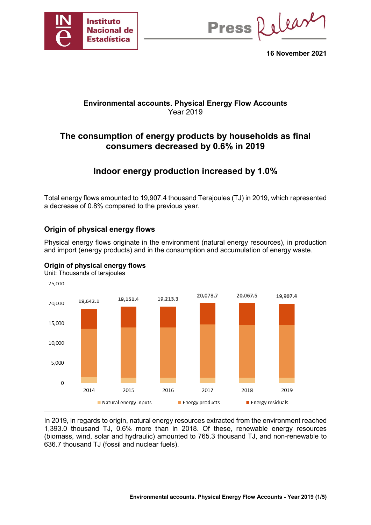

Press Release

**16 November 2021**

## **Environmental accounts. Physical Energy Flow Accounts**  Year 2019

# **The consumption of energy products by households as final consumers decreased by 0.6% in 2019**

# **Indoor energy production increased by 1.0%**

Total energy flows amounted to 19,907.4 thousand Terajoules (TJ) in 2019, which represented a decrease of 0.8% compared to the previous year.

## **Origin of physical energy flows**

Physical energy flows originate in the environment (natural energy resources), in production and import (energy products) and in the consumption and accumulation of energy waste.



**Origin of physical energy flows** Unit: Thousands of terajoules

In 2019, in regards to origin, natural energy resources extracted from the environment reached 1,393.0 thousand TJ, 0.6% more than in 2018. Of these, renewable energy resources (biomass, wind, solar and hydraulic) amounted to 765.3 thousand TJ, and non-renewable to 636.7 thousand TJ (fossil and nuclear fuels).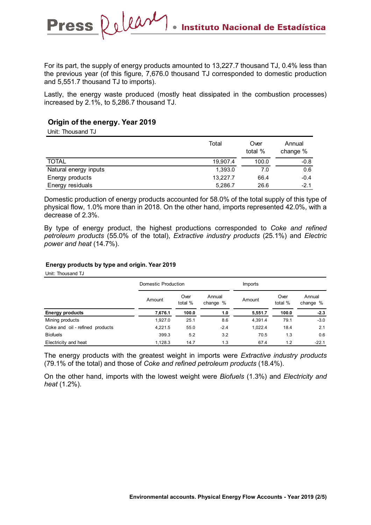For its part, the supply of energy products amounted to 13,227.7 thousand TJ, 0.4% less than the previous year (of this figure, 7,676.0 thousand TJ corresponded to domestic production and 5,551.7 thousand TJ to imports).

Lastly, the energy waste produced (mostly heat dissipated in the combustion processes) increased by 2.1%, to 5,286.7 thousand TJ.

### **Origin of the energy. Year 2019**

Press Relear

Unit: Thousand TJ

|                       | Total    | Over<br>total % | Annual<br>change % |
|-----------------------|----------|-----------------|--------------------|
| <b>TOTAL</b>          | 19.907.4 | 100.0           | $-0.8$             |
| Natural energy inputs | 1,393.0  | 7.0             | 0.6                |
| Energy products       | 13.227.7 | 66.4            | $-0.4$             |
| Energy residuals      | 5,286.7  | 26.6            | $-2.1$             |

Domestic production of energy products accounted for 58.0% of the total supply of this type of physical flow, 1.0% more than in 2018. On the other hand, imports represented 42.0%, with a decrease of 2.3%.

By type of energy product, the highest productions corresponded to *Coke and refined petroleum products* (55.0% of the total), *Extractive industry products* (25.1%) and *Electric power and heat* (14.7%).

#### **Energy products by type and origin. Year 2019**

Unit: Thousand TJ

|                                 |         | Domestic Production |                    |         | Imports         |                    |  |  |
|---------------------------------|---------|---------------------|--------------------|---------|-----------------|--------------------|--|--|
|                                 | Amount  | Over<br>total %     | Annual<br>change % | Amount  | Over<br>total % | Annual<br>change % |  |  |
| <b>Energy products</b>          | 7,676.1 | 100.0               | 1.0                | 5,551.7 | 100.0           | $-2.3$             |  |  |
| Mining products                 | 1,927.0 | 25.1                | 8.6                | 4,391.4 | 79.1            | $-3.0$             |  |  |
| Coke and oil - refined products | 4,221.5 | 55.0                | $-2.4$             | 1,022.4 | 18.4            | 2.1                |  |  |
| <b>Biofuels</b>                 | 399.3   | 5.2                 | 3.2                | 70.5    | 1.3             | 0.6                |  |  |
| Electricity and heat            | 1.128.3 | 14.7                | 1.3                | 67.4    | 1.2             | $-22.1$            |  |  |

The energy products with the greatest weight in imports were *Extractive industry products* (79.1% of the total) and those of *Coke and refined petroleum products* (18.4%).

On the other hand, imports with the lowest weight were *Biofuels* (1.3%) and *Electricity and heat* (1.2%).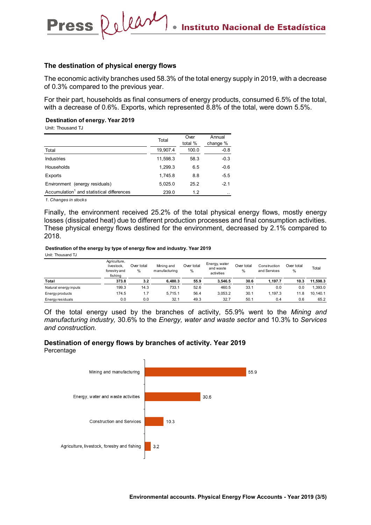#### **The destination of physical energy flows**

Press Relear

The economic activity branches used 58.3% of the total energy supply in 2019, with a decrease of 0.3% compared to the previous year.

For their part, households as final consumers of energy products, consumed 6.5% of the total, with a decrease of 0.6%. Exports, which represented 8.8% of the total, were down 5.5%.

**Destination of energy. Year 2019**

Unit: Thousand TJ

|                                                       | Total    | Over<br>total % | Annual<br>change % |
|-------------------------------------------------------|----------|-----------------|--------------------|
| Total                                                 | 19,907.4 | 100.0           | $-0.8$             |
| <b>Industries</b>                                     | 11,598.3 | 58.3            | $-0.3$             |
| Households                                            | 1.299.3  | 6.5             | $-0.6$             |
| Exports                                               | 1.745.8  | 8.8             | $-5.5$             |
| Environment (energy residuals)                        | 5,025.0  | 25.2            | $-2.1$             |
| Accumulation <sup>1</sup> and statistical differences | 239.0    | 1.2             | $\cdot$ .          |

*1. Changes in stocks*

Finally, the environment received 25.2% of the total physical energy flows, mostly energy losses (dissipated heat) due to different production processes and final consumption activities. These physical energy flows destined for the environment, decreased by 2.1% compared to 2018.

**Destination of the energy by type of energy flow and industry. Year 2019**

Unit: Thousand TJ

|                       | Agriculture,<br>livestock.<br>forestry and<br>fishing | Over total<br>% | Mining and<br>manufacturing | Over total<br>% | Energy, water<br>and waste<br>activities | Over total<br>% | Construction<br>and Services | Over total<br>% | Total    |
|-----------------------|-------------------------------------------------------|-----------------|-----------------------------|-----------------|------------------------------------------|-----------------|------------------------------|-----------------|----------|
| Total                 | 373.8                                                 | 3.2             | 6.480.3                     | 55.9            | 3.546.5                                  | 30.6            | 1.197.7                      | 10.3            | 11.598.3 |
| Natural energy inputs | 199.3                                                 | 14.3            | 733.1                       | 52.6            | 460.5                                    | 33.1            | 0.0                          | 0.0             | 1.393.0  |
| Energy products       | 174.5                                                 |                 | 5.715.1                     | 56.4            | 3.053.2                                  | 30.1            | .197.3                       | 11.8            | 10.140.1 |
| Energy residuals      | 0.0                                                   | 0.0             | 32.1                        | 49.3            | 32.7                                     | 50.1            | 0.4                          | 0.6             | 65.2     |

Of the total energy used by the branches of activity, 55.9% went to the *Mining and manufacturing industry,* 30.6% to the *Energy, water and waste sector* and 10.3% to *Services and construction.* 



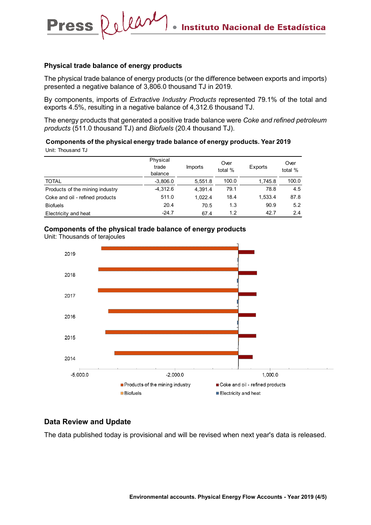#### **Physical trade balance of energy products**

**Press** 

Release

The physical trade balance of energy products (or the difference between exports and imports) presented a negative balance of 3,806.0 thousand TJ in 2019.

By components, imports of *Extractive Industry Products* represented 79.1% of the total and exports 4.5%, resulting in a negative balance of 4,312.6 thousand TJ.

The energy products that generated a positive trade balance were *Coke and refined petroleum products* (511.0 thousand TJ) and *Biofuels* (20.4 thousand TJ).

#### Unit: Thousand TJ **Components of the physical energy trade balance of energy products. Year 2019**

|                                 | Physical<br>trade<br>balance | Imports | Over<br>total % | Exports | Over<br>total % |
|---------------------------------|------------------------------|---------|-----------------|---------|-----------------|
| <b>TOTAL</b>                    | $-3,806.0$                   | 5,551.8 | 100.0           | 1,745.8 | 100.0           |
| Products of the mining industry | $-4,312.6$                   | 4.391.4 | 79.1            | 78.8    | 4.5             |
| Coke and oil - refined products | 511.0                        | 1.022.4 | 18.4            | 1,533.4 | 87.8            |
| <b>Biofuels</b>                 | 20.4                         | 70.5    | 1.3             | 90.9    | 5.2             |
| Electricity and heat            | $-24.7$                      | 67.4    | 1.2             | 42.7    | 2.4             |

#### **Components of the physical trade balance of energy products**

Unit: Thousands of terajoules



### **Data Review and Update**

The data published today is provisional and will be revised when next year's data is released.